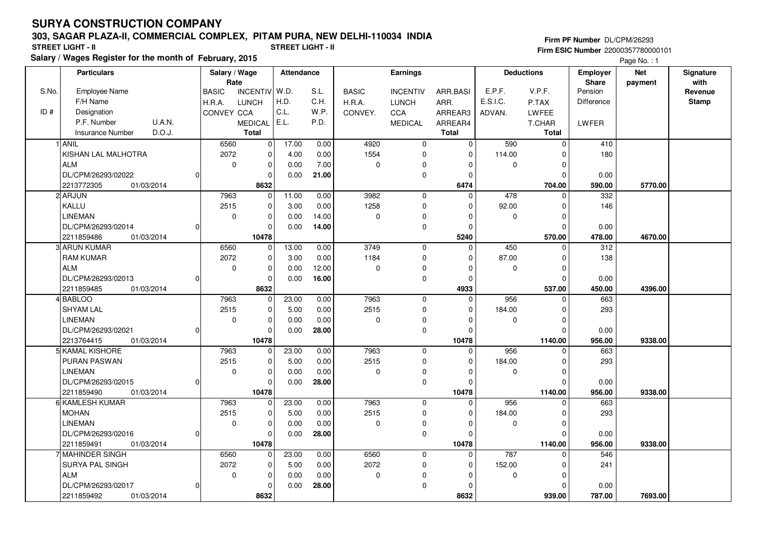# **SURYA CONSTRUCTION COMPANY**

## **303, SAGAR PLAZA-II, COMMERCIAL COMPLEX, PITAM PURA, NEW DELHI-110034 INDIA**

**Salary / Wages Register for the month of February, 2015 STREET LIGHT - II STREET LIGHT - II**

### **Firm PF Number** DL/CPM/26293 **Firm ESIC Number** 22000357780000101

Page No. : 1

|       | <b>Particulars</b>                |    | Salary / Wage<br>Rate |                | Attendance |       | Earnings     |                 |                | <b>Deductions</b> |             | <b>Employer</b><br>Share | <b>Net</b> | Signature<br>with |
|-------|-----------------------------------|----|-----------------------|----------------|------------|-------|--------------|-----------------|----------------|-------------------|-------------|--------------------------|------------|-------------------|
| S.No. | Employee Name                     |    | <b>BASIC</b>          | INCENTIV W.D.  |            | S.L.  | <b>BASIC</b> | <b>INCENTIV</b> | ARR.BASI       | E.P.F.            | V.P.F.      | Pension                  | payment    | Revenue           |
|       | F/H Name                          |    | H.R.A.                | <b>LUNCH</b>   | H.D.       | C.H.  | H.R.A.       | <b>LUNCH</b>    | ARR.           | E.S.I.C.          | P.TAX       | <b>Difference</b>        |            | <b>Stamp</b>      |
| ID#   | Designation                       |    | CONVEY CCA            |                | C.L.       | W.P.  | CONVEY.      | CCA             | ARREAR3        | ADVAN.            | LWFEE       |                          |            |                   |
|       | P.F. Number<br>U.A.N.             |    |                       | <b>MEDICAL</b> | E.L.       | P.D.  |              | <b>MEDICAL</b>  | ARREAR4        |                   | T.CHAR      | <b>LWFER</b>             |            |                   |
|       | D.O.J.<br><b>Insurance Number</b> |    |                       | <b>Total</b>   |            |       |              |                 | <b>Total</b>   |                   | Total       |                          |            |                   |
|       | 1 ANIL                            |    | 6560                  | $\mathbf 0$    | 17.00      | 0.00  | 4920         | $\mathbf 0$     | $\overline{0}$ | 590               | $\mathbf 0$ | 410                      |            |                   |
|       | KISHAN LAL MALHOTRA               |    | 2072                  | 0              | 4.00       | 0.00  | 1554         | 0               | $\mathbf 0$    | 114.00            | $\Omega$    | 180                      |            |                   |
|       | <b>ALM</b>                        |    | $\mathbf 0$           | $\mathbf 0$    | 0.00       | 7.00  | $\pmb{0}$    | $\mathbf 0$     | $\Omega$       | 0                 | $\mathbf 0$ |                          |            |                   |
|       | DL/CPM/26293/02022                | 0  |                       | $\Omega$       | 0.00       | 21.00 |              | $\mathbf 0$     | $\Omega$       |                   | $\Omega$    | 0.00                     |            |                   |
|       | 01/03/2014<br>2213772305          |    |                       | 8632           |            |       |              |                 | 6474           |                   | 704.00      | 590.00                   | 5770.00    |                   |
|       | 2 ARJUN                           |    | 7963                  | $\mathbf{0}$   | 11.00      | 0.00  | 3982         | $\mathbf 0$     | $\Omega$       | 478               | $\Omega$    | 332                      |            |                   |
|       | KALLU                             |    | 2515                  | $\mathbf 0$    | 3.00       | 0.00  | 1258         | $\mathbf 0$     | $\Omega$       | 92.00             | $\Omega$    | 146                      |            |                   |
|       | <b>LINEMAN</b>                    |    | $\Omega$              | $\mathbf 0$    | 0.00       | 14.00 | 0            | 0               | $\Omega$       | 0                 | $\mathbf 0$ |                          |            |                   |
|       | DL/CPM/26293/02014                | 0  |                       |                | 0.00       | 14.00 |              | $\mathbf 0$     | $\Omega$       |                   | $\Omega$    | 0.00                     |            |                   |
|       | 01/03/2014<br>2211859486          |    |                       | 10478          |            |       |              |                 | 5240           |                   | 570.00      | 478.00                   | 4670.00    |                   |
|       | 3 ARUN KUMAR                      |    | 6560                  | 0              | 13.00      | 0.00  | 3749         | $\mathbf 0$     | $\mathbf 0$    | 450               | 0           | 312                      |            |                   |
|       | <b>RAM KUMAR</b>                  |    | 2072                  | $\Omega$       | 3.00       | 0.00  | 1184         | 0               | $\Omega$       | 87.00             | $\Omega$    | 138                      |            |                   |
|       | <b>ALM</b>                        |    | $\mathbf 0$           | $\mathbf 0$    | 0.00       | 12.00 | $\mathbf 0$  | 0               | $\Omega$       | 0                 | $\mathbf 0$ |                          |            |                   |
|       | DL/CPM/26293/02013                | 0  |                       | $\Omega$       | 0.00       | 16.00 |              | $\mathbf 0$     | $\Omega$       |                   | $\Omega$    | 0.00                     |            |                   |
|       | 2211859485<br>01/03/2014          |    |                       | 8632           |            |       |              |                 | 4933           |                   | 537.00      | 450.00                   | 4396.00    |                   |
|       | 4BABLOO                           |    | 7963                  | $\Omega$       | 23.00      | 0.00  | 7963         | $\mathbf 0$     | $\overline{0}$ | 956               | $\Omega$    | 663                      |            |                   |
|       | <b>SHYAM LAL</b>                  |    | 2515                  | $\mathbf 0$    | 5.00       | 0.00  | 2515         | 0               | $\Omega$       | 184.00            | $\Omega$    | 293                      |            |                   |
|       | <b>LINEMAN</b>                    |    | $\mathbf 0$           | $\mathbf 0$    | 0.00       | 0.00  | $\mathbf 0$  | 0               | $\Omega$       | 0                 | $\Omega$    |                          |            |                   |
|       | DL/CPM/26293/02021                | 0  |                       | $\Omega$       | 0.00       | 28.00 |              | $\mathbf 0$     | O              |                   | $\Omega$    | 0.00                     |            |                   |
|       | 2213764415<br>01/03/2014          |    |                       | 10478          |            |       |              |                 | 10478          |                   | 1140.00     | 956.00                   | 9338.00    |                   |
|       | 5 KAMAL KISHORE                   |    | 7963                  | 0              | 23.00      | 0.00  | 7963         | 0               | $\Omega$       | 956               | $\Omega$    | 663                      |            |                   |
|       | <b>PURAN PASWAN</b>               |    | 2515                  | $\Omega$       | 5.00       | 0.00  | 2515         | $\Omega$        | O              | 184.00            | $\Omega$    | 293                      |            |                   |
|       | <b>LINEMAN</b>                    |    | $\mathbf 0$           | $\mathbf 0$    | 0.00       | 0.00  | $\pmb{0}$    | $\mathbf 0$     | $\Omega$       | 0                 | $\mathbf 0$ |                          |            |                   |
|       | DL/CPM/26293/02015                | οI |                       | $\mathbf 0$    | 0.00       | 28.00 |              | $\mathbf 0$     | $\Omega$       |                   | $\Omega$    | 0.00                     |            |                   |
|       | 2211859490<br>01/03/2014          |    |                       | 10478          |            |       |              |                 | 10478          |                   | 1140.00     | 956.00                   | 9338.00    |                   |
|       | 6 KAMLESH KUMAR                   |    | 7963                  | $\Omega$       | 23.00      | 0.00  | 7963         | $\mathbf 0$     | $\Omega$       | 956               | $\Omega$    | 663                      |            |                   |
|       | <b>MOHAN</b>                      |    | 2515                  | $\mathbf 0$    | 5.00       | 0.00  | 2515         | 0               | $\Omega$       | 184.00            | $\Omega$    | 293                      |            |                   |
|       | <b>LINEMAN</b>                    |    | $\mathbf 0$           | $\mathbf 0$    | 0.00       | 0.00  | $\pmb{0}$    | 0               | $\Omega$       | 0                 | $\Omega$    |                          |            |                   |
|       | DL/CPM/26293/02016                | 0  |                       | $\Omega$       | 0.00       | 28.00 |              | $\mathbf 0$     | $\Omega$       |                   | $\Omega$    | 0.00                     |            |                   |
|       | 01/03/2014<br>2211859491          |    |                       | 10478          |            |       |              |                 | 10478          |                   | 1140.00     | 956.00                   | 9338.00    |                   |
|       | 7 MAHINDER SINGH                  |    | 6560                  | $\mathbf 0$    | 23.00      | 0.00  | 6560         | $\mathbf 0$     | $\mathbf 0$    | 787               | $\Omega$    | 546                      |            |                   |
|       | <b>SURYA PAL SINGH</b>            |    | 2072                  | $\mathbf 0$    | 5.00       | 0.00  | 2072         | $\pmb{0}$       | $\Omega$       | 152.00            | $\Omega$    | 241                      |            |                   |
|       | <b>ALM</b>                        |    | $\mathbf 0$           | $\mathbf 0$    | 0.00       | 0.00  | $\pmb{0}$    | $\mathbf 0$     | $\Omega$       | 0                 | $\mathbf 0$ |                          |            |                   |
|       | DL/CPM/26293/02017                | 0  |                       | $\Omega$       | 0.00       | 28.00 |              | $\mathbf 0$     | $\Omega$       |                   | $\Omega$    | 0.00                     |            |                   |
|       | 2211859492<br>01/03/2014          |    |                       | 8632           |            |       |              |                 | 8632           |                   | 939.00      | 787.00                   | 7693.00    |                   |